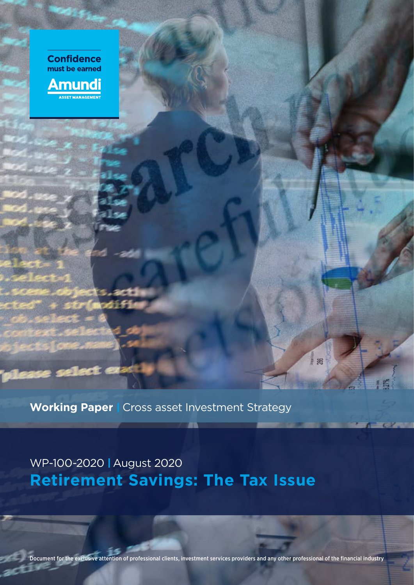

**Working Paper | Cross asset Investment Strategy** 

WP-100-2020 I August 2020 **Retirement Savings: The Tax Issue**

Document for the exclusive attention of professional clients, investment services providers and any other professional of the financial industry

18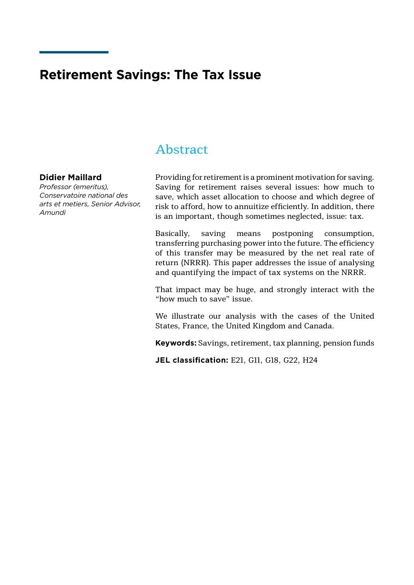# **Retirement Savings: The Tax Issue**

# Abstract

### **Didier Maillard**

*Professor (emeritus), Conservatoire national des arts et metiers, Senior Advisor, Amundi*

Providing for retirement is a prominent motivation for saving. Saving for retirement raises several issues: how much to save, which asset allocation to choose and which degree of risk to afford, how to annuitize efficiently. In addition, there is an important, though sometimes neglected, issue: tax.

Basically, saving means postponing consumption, transferring purchasing power into the future. The efficiency of this transfer may be measured by the net real rate of return (NRRR). This paper addresses the issue of analysing and quantifying the impact of tax systems on the NRRR.

That impact may be huge, and strongly interact with the "how much to save" issue.

We illustrate our analysis with the cases of the United States, France, the United Kingdom and Canada.

**Keywords:** Savings, retirement, tax planning, pension funds

**JEL classification:** E21, G11, G18, G22, H24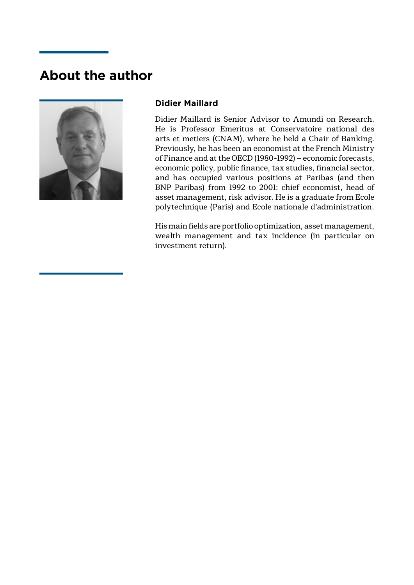# **About the author**



# **Didier Maillard**

Didier Maillard is Senior Advisor to Amundi on Research. He is Professor Emeritus at Conservatoire national des arts et metiers (CNAM), where he held a Chair of Banking. Previously, he has been an economist at the French Ministry of Finance and at the OECD (1980-1992) – economic forecasts, economic policy, public finance, tax studies, financial sector, and has occupied various positions at Paribas (and then BNP Paribas) from 1992 to 2001: chief economist, head of asset management, risk advisor. He is a graduate from Ecole polytechnique (Paris) and Ecole nationale d'administration.

His main fields are portfolio optimization, asset management, wealth management and tax incidence (in particular on investment return).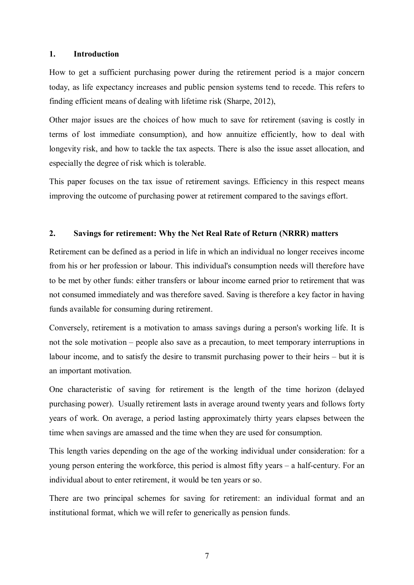#### **1. Introduction**

How to get a sufficient purchasing power during the retirement period is a major concern today, as life expectancy increases and public pension systems tend to recede. This refers to finding efficient means of dealing with lifetime risk (Sharpe, 2012),

Other major issues are the choices of how much to save for retirement (saving is costly in terms of lost immediate consumption), and how annuitize efficiently, how to deal with longevity risk, and how to tackle the tax aspects. There is also the issue asset allocation, and especially the degree of risk which is tolerable.

This paper focuses on the tax issue of retirement savings. Efficiency in this respect means improving the outcome of purchasing power at retirement compared to the savings effort.

#### **2. Savings for retirement: Why the Net Real Rate of Return (NRRR) matters**

Retirement can be defined as a period in life in which an individual no longer receives income from his or her profession or labour. This individual's consumption needs will therefore have to be met by other funds: either transfers or labour income earned prior to retirement that was not consumed immediately and was therefore saved. Saving is therefore a key factor in having funds available for consuming during retirement.

Conversely, retirement is a motivation to amass savings during a person's working life. It is not the sole motivation – people also save as a precaution, to meet temporary interruptions in labour income, and to satisfy the desire to transmit purchasing power to their heirs – but it is an important motivation.

One characteristic of saving for retirement is the length of the time horizon (delayed purchasing power). Usually retirement lasts in average around twenty years and follows forty years of work. On average, a period lasting approximately thirty years elapses between the time when savings are amassed and the time when they are used for consumption.

This length varies depending on the age of the working individual under consideration: for a young person entering the workforce, this period is almost fifty years – a half-century. For an individual about to enter retirement, it would be ten years or so.

There are two principal schemes for saving for retirement: an individual format and an institutional format, which we will refer to generically as pension funds.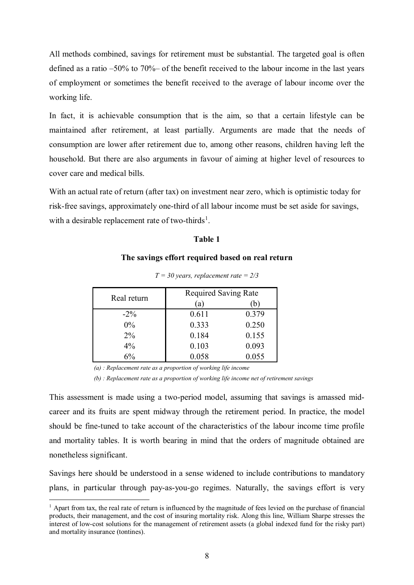All methods combined, savings for retirement must be substantial. The targeted goal is often defined as a ratio –50% to 70%– of the benefit received to the labour income in the last years of employment or sometimes the benefit received to the average of labour income over the working life.

In fact, it is achievable consumption that is the aim, so that a certain lifestyle can be maintained after retirement, at least partially. Arguments are made that the needs of consumption are lower after retirement due to, among other reasons, children having left the household. But there are also arguments in favour of aiming at higher level of resources to cover care and medical bills.

With an actual rate of return (after tax) on investment near zero, which is optimistic today for risk-free savings, approximately one-third of all labour income must be set aside for savings, with a desirable replacement rate of two-thirds<sup>[1](#page-7-0)</sup>.

### **Table 1**

#### **The savings effort required based on real return**

| Real return | <b>Required Saving Rate</b> |       |  |  |
|-------------|-----------------------------|-------|--|--|
|             | $\left( a\right)$           | n.    |  |  |
| $-2\%$      | 0.611                       | 0.379 |  |  |
| $0\%$       | 0.333                       | 0.250 |  |  |
| $2\%$       | 0.184                       | 0.155 |  |  |
| $4\%$       | 0.103                       | 0.093 |  |  |
| 6%          | 0.058                       | 0.055 |  |  |

*T = 30 years, replacement rate = 2/3*

*(a) : Replacement rate as a proportion of working life income*

*(b) : Replacement rate as a proportion of working life income net of retirement savings*

This assessment is made using a two-period model, assuming that savings is amassed midcareer and its fruits are spent midway through the retirement period. In practice, the model should be fine-tuned to take account of the characteristics of the labour income time profile and mortality tables. It is worth bearing in mind that the orders of magnitude obtained are nonetheless significant.

Savings here should be understood in a sense widened to include contributions to mandatory plans, in particular through pay-as-you-go regimes. Naturally, the savings effort is very

<span id="page-7-0"></span> $1$  Apart from tax, the real rate of return is influenced by the magnitude of fees levied on the purchase of financial products, their management, and the cost of insuring mortality risk. Along this line, William Sharpe stresses the interest of low-cost solutions for the management of retirement assets (a global indexed fund for the risky part) and mortality insurance (tontines).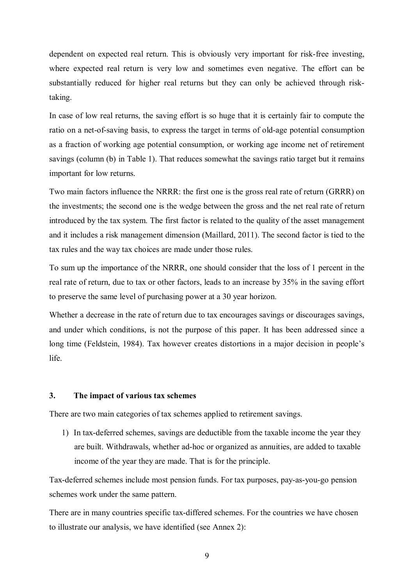dependent on expected real return. This is obviously very important for risk-free investing, where expected real return is very low and sometimes even negative. The effort can be substantially reduced for higher real returns but they can only be achieved through risktaking.

In case of low real returns, the saving effort is so huge that it is certainly fair to compute the ratio on a net-of-saving basis, to express the target in terms of old-age potential consumption as a fraction of working age potential consumption, or working age income net of retirement savings (column (b) in Table 1). That reduces somewhat the savings ratio target but it remains important for low returns.

Two main factors influence the NRRR: the first one is the gross real rate of return (GRRR) on the investments; the second one is the wedge between the gross and the net real rate of return introduced by the tax system. The first factor is related to the quality of the asset management and it includes a risk management dimension (Maillard, 2011). The second factor is tied to the tax rules and the way tax choices are made under those rules.

To sum up the importance of the NRRR, one should consider that the loss of 1 percent in the real rate of return, due to tax or other factors, leads to an increase by 35% in the saving effort to preserve the same level of purchasing power at a 30 year horizon.

Whether a decrease in the rate of return due to tax encourages savings or discourages savings, and under which conditions, is not the purpose of this paper. It has been addressed since a long time (Feldstein, 1984). Tax however creates distortions in a major decision in people's life.

#### **3. The impact of various tax schemes**

There are two main categories of tax schemes applied to retirement savings.

1) In tax-deferred schemes, savings are deductible from the taxable income the year they are built. Withdrawals, whether ad-hoc or organized as annuities, are added to taxable income of the year they are made. That is for the principle.

Tax-deferred schemes include most pension funds. For tax purposes, pay-as-you-go pension schemes work under the same pattern.

There are in many countries specific tax-differed schemes. For the countries we have chosen to illustrate our analysis, we have identified (see Annex 2):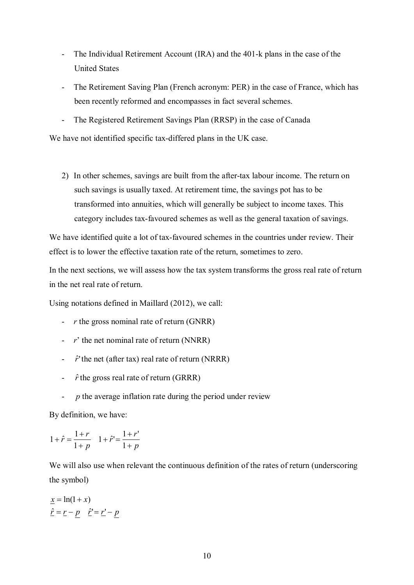- The Individual Retirement Account (IRA) and the 401-k plans in the case of the United States
- The Retirement Saving Plan (French acronym: PER) in the case of France, which has been recently reformed and encompasses in fact several schemes.
- The Registered Retirement Savings Plan (RRSP) in the case of Canada

We have not identified specific tax-differed plans in the UK case.

2) In other schemes, savings are built from the after-tax labour income. The return on such savings is usually taxed. At retirement time, the savings pot has to be transformed into annuities, which will generally be subject to income taxes. This category includes tax-favoured schemes as well as the general taxation of savings.

We have identified quite a lot of tax-favoured schemes in the countries under review. Their effect is to lower the effective taxation rate of the return, sometimes to zero.

In the next sections, we will assess how the tax system transforms the gross real rate of return in the net real rate of return.

Using notations defined in Maillard (2012), we call:

- *r* the gross nominal rate of return (GNRR)
- *r*' the net nominal rate of return (NNRR)
- $\hat{r}$ 'the net (after tax) real rate of return (NRRR)
- $\hat{r}$ <sup>the</sup> gross real rate of return (GRRR)
- *p* the average inflation rate during the period under review

By definition, we have:

$$
1 + \hat{r} = \frac{1+r}{1+p} \quad 1 + \hat{r}' = \frac{1+r'}{1+p}
$$

We will also use when relevant the continuous definition of the rates of return (underscoring the symbol)

$$
\underline{x} = \ln(1+x)
$$

$$
\underline{\hat{r}} = \underline{r} - \underline{p} \quad \underline{\hat{r}}' = \underline{r}' - \underline{p}
$$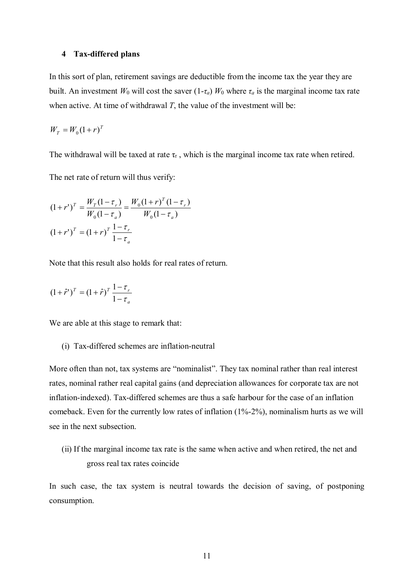#### **4 Tax-differed plans**

In this sort of plan, retirement savings are deductible from the income tax the year they are built. An investment  $W_0$  will cost the saver  $(1-\tau_a)$   $W_0$  where  $\tau_a$  is the marginal income tax rate when active. At time of withdrawal *T*, the value of the investment will be:

$$
W_T = W_0 (1+r)^T
$$

The withdrawal will be taxed at rate  $\tau_r$ , which is the marginal income tax rate when retired.

The net rate of return will thus verify:

$$
(1+r')^{T} = \frac{W_{T}(1-\tau_{r})}{W_{0}(1-\tau_{a})} = \frac{W_{0}(1+r)^{T}(1-\tau_{r})}{W_{0}(1-\tau_{a})}
$$

$$
(1+r')^{T} = (1+r)^{T} \frac{1-\tau_{r}}{1-\tau_{a}}
$$

Note that this result also holds for real rates of return.

$$
(1+\hat{r}')^T = (1+\hat{r})^T \frac{1-\tau_r}{1-\tau_a}
$$

We are able at this stage to remark that:

(i) Tax-differed schemes are inflation-neutral

More often than not, tax systems are "nominalist". They tax nominal rather than real interest rates, nominal rather real capital gains (and depreciation allowances for corporate tax are not inflation-indexed). Tax-differed schemes are thus a safe harbour for the case of an inflation comeback. Even for the currently low rates of inflation (1%-2%), nominalism hurts as we will see in the next subsection.

(ii) If the marginal income tax rate is the same when active and when retired, the net and gross real tax rates coincide

In such case, the tax system is neutral towards the decision of saving, of postponing consumption.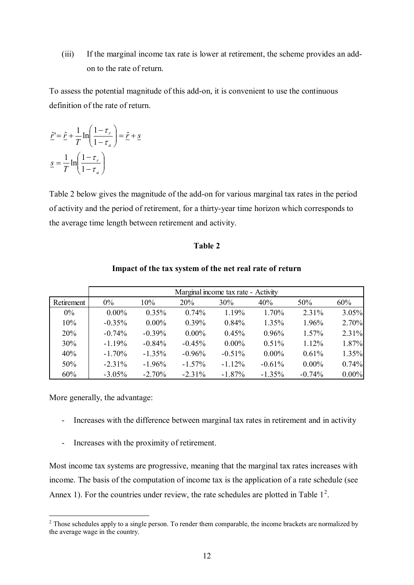(iii) If the marginal income tax rate is lower at retirement, the scheme provides an addon to the rate of return.

To assess the potential magnitude of this add-on, it is convenient to use the continuous definition of the rate of return.

$$
\hat{\underline{r}}' = \hat{\underline{r}} + \frac{1}{T} \ln \left( \frac{1 - \tau_r}{1 - \tau_a} \right) = \hat{\underline{r}} + \underline{s}
$$
\n
$$
\underline{s} = \frac{1}{T} \ln \left( \frac{1 - \tau_r}{1 - \tau_a} \right)
$$

Table 2 below gives the magnitude of the add-on for various marginal tax rates in the period of activity and the period of retirement, for a thirty-year time horizon which corresponds to the average time length between retirement and activity.

#### **Table 2**

#### **Impact of the tax system of the net real rate of return**

|            | Marginal income tax rate - Activity |           |            |           |          |          |       |  |  |  |
|------------|-------------------------------------|-----------|------------|-----------|----------|----------|-------|--|--|--|
| Retirement | $0\%$                               | $10\%$    | <b>20%</b> | $30\%$    | 40%      | 50%      | 60%   |  |  |  |
| $0\%$      | $0.00\%$                            | $0.35\%$  | $0.74\%$   | 1.19%     | 1.70%    | 2.31%    | 3.05% |  |  |  |
| 10%        | $-0.35%$                            | $0.00\%$  | 0.39%      | 0.84%     | 1.35%    | 1.96%    | 2.70% |  |  |  |
| <b>20%</b> | $-0.74%$                            | $-0.39\%$ | $0.00\%$   | $0.45\%$  | 0.96%    | 1.57%    | 2.31% |  |  |  |
| 30%        | $-1.19%$                            | $-0.84%$  | $-0.45%$   | $0.00\%$  | 0.51%    | 1.12%    | 1.87% |  |  |  |
| 40%        | $-1.70%$                            | $-1.35%$  | $-0.96%$   | $-0.51%$  | $0.00\%$ | 0.61%    | 1.35% |  |  |  |
| 50%        | $-2.31%$                            | $-1.96%$  | $-1.57\%$  | $-1.12%$  | $-0.61%$ | $0.00\%$ | 0.74% |  |  |  |
| 60%        | $-3.05%$                            | $-2.70%$  | $-2.31%$   | $-1.87\%$ | $-1.35%$ | $-0.74%$ | 0.00% |  |  |  |

More generally, the advantage:

- Increases with the difference between marginal tax rates in retirement and in activity
- Increases with the proximity of retirement.

Most income tax systems are progressive, meaning that the marginal tax rates increases with income. The basis of the computation of income tax is the application of a rate schedule (see Annex 1). For the countries under review, the rate schedules are plotted in Table  $1<sup>2</sup>$  $1<sup>2</sup>$  $1<sup>2</sup>$ .

<span id="page-11-0"></span><sup>&</sup>lt;sup>2</sup> Those schedules apply to a single person. To render them comparable, the income brackets are normalized by the average wage in the country.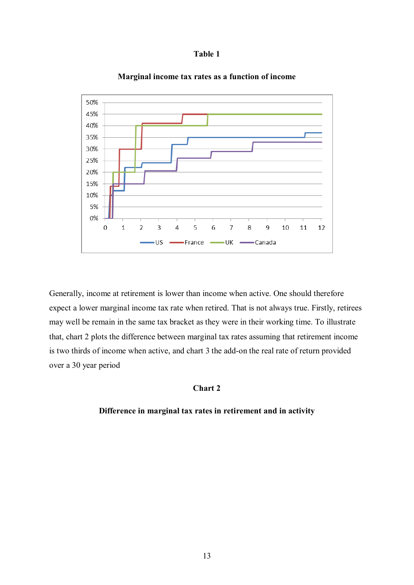



#### **Marginal income tax rates as a function of income**

Generally, income at retirement is lower than income when active. One should therefore expect a lower marginal income tax rate when retired. That is not always true. Firstly, retirees may well be remain in the same tax bracket as they were in their working time. To illustrate that, chart 2 plots the difference between marginal tax rates assuming that retirement income is two thirds of income when active, and chart 3 the add-on the real rate of return provided over a 30 year period

#### **Chart 2**

#### **Difference in marginal tax rates in retirement and in activity**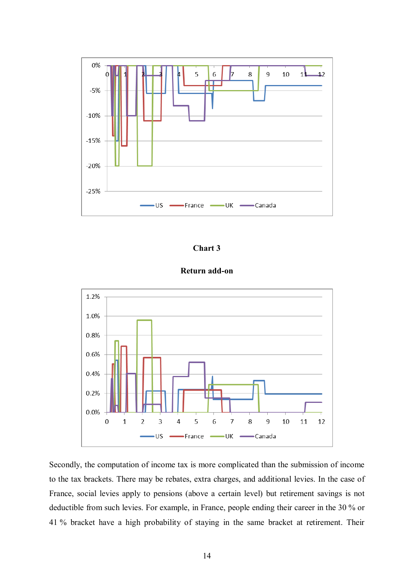

## **Chart 3**

# **Return add-on**



Secondly, the computation of income tax is more complicated than the submission of income to the tax brackets. There may be rebates, extra charges, and additional levies. In the case of France, social levies apply to pensions (above a certain level) but retirement savings is not deductible from such levies. For example, in France, people ending their career in the 30 % or 41 % bracket have a high probability of staying in the same bracket at retirement. Their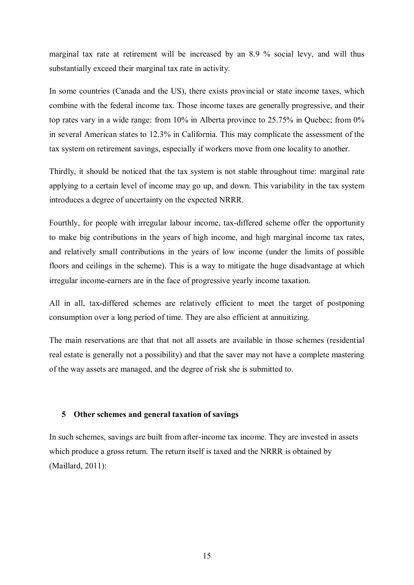marginal tax rate at retirement will be increased by an 8.9 % social levy, and will thus substantially exceed their marginal tax rate in activity.

In some countries (Canada and the US), there exists provincial or state income taxes, which combine with the federal income tax. Those income taxes are generally progressive, and their top rates vary in a wide range: from 10% in Alberta province to 25.75% in Quebec; from 0% in several American states to 12.3% in California. This may complicate the assessment of the tax system on retirement savings, especially if workers move from one locality to another.

Thirdly, it should be noticed that the tax system is not stable throughout time: marginal rate applying to a certain level of income may go up, and down. This variability in the tax system introduces a degree of uncertainty on the expected NRRR.

Fourthly, for people with irregular labour income, tax-differed scheme offer the opportunity to make big contributions in the years of high income, and high marginal income tax rates, and relatively small contributions in the years of low income (under the limits of possible floors and ceilings in the scheme). This is a way to mitigate the huge disadvantage at which irregular income-earners are in the face of progressive yearly income taxation.

All in all, tax-differed schemes are relatively efficient to meet the target of postponing consumption over a long period of time. They are also efficient at annuitizing.

The main reservations are that that not all assets are available in those schemes (residential real estate is generally not a possibility) and that the saver may not have a complete mastering of the way assets are managed, and the degree of risk she is submitted to.

#### **5 Other schemes and general taxation of savings**

In such schemes, savings are built from after-income tax income. They are invested in assets which produce a gross return. The return itself is taxed and the NRRR is obtained by (Maillard, 2011):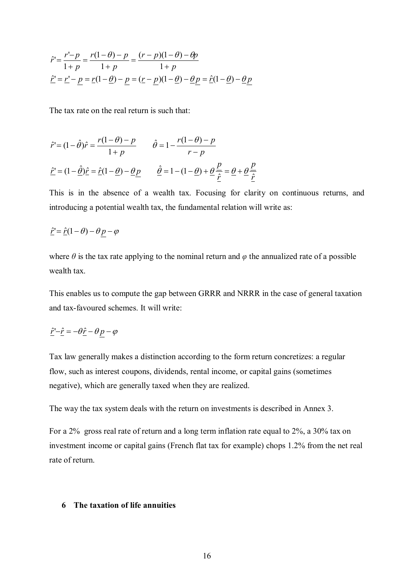$$
\hat{r}' = \frac{r'-p}{1+p} = \frac{r(1-\theta)-p}{1+p} = \frac{(r-p)(1-\theta)-\theta p}{1+p}
$$
  

$$
\hat{\underline{r}}' = \underline{r}' - \underline{p} = \underline{r}(1-\underline{\theta}) - \underline{p} = (\underline{r}-\underline{p})(1-\underline{\theta}) - \underline{\theta}\underline{p} = \hat{\underline{r}}(1-\underline{\theta}) - \underline{\theta}\underline{p}
$$

The tax rate on the real return is such that:

$$
\hat{r}' = (1 - \hat{\theta})\hat{r} = \frac{r(1 - \theta) - p}{1 + p} \qquad \hat{\theta} = 1 - \frac{r(1 - \theta) - p}{r - p}
$$

$$
\hat{\underline{r}}' = (1 - \hat{\underline{\theta}})\hat{\underline{r}} = \hat{\underline{r}}(1 - \underline{\theta}) - \underline{\theta} \underline{p} \qquad \hat{\underline{\theta}} = 1 - (1 - \underline{\theta}) + \underline{\theta} \frac{\underline{p}}{\hat{\underline{r}}} = \underline{\theta} + \underline{\theta} \frac{\underline{p}}{\hat{\underline{r}}}
$$

This is in the absence of a wealth tax. Focusing for clarity on continuous returns, and introducing a potential wealth tax, the fundamental relation will write as:

$$
\underline{\hat{r}}' = \underline{\hat{r}}(1-\theta) - \theta p - \varphi
$$

where  $\theta$  is the tax rate applying to the nominal return and  $\varphi$  the annualized rate of a possible wealth tax.

This enables us to compute the gap between GRRR and NRRR in the case of general taxation and tax-favoured schemes. It will write:

$$
\underline{\hat{r}}' - \underline{\hat{r}} = -\theta \underline{\hat{r}} - \theta p - \varphi
$$

Tax law generally makes a distinction according to the form return concretizes: a regular flow, such as interest coupons, dividends, rental income, or capital gains (sometimes negative), which are generally taxed when they are realized.

The way the tax system deals with the return on investments is described in Annex 3.

For a 2% gross real rate of return and a long term inflation rate equal to 2%, a 30% tax on investment income or capital gains (French flat tax for example) chops 1.2% from the net real rate of return.

#### **6 The taxation of life annuities**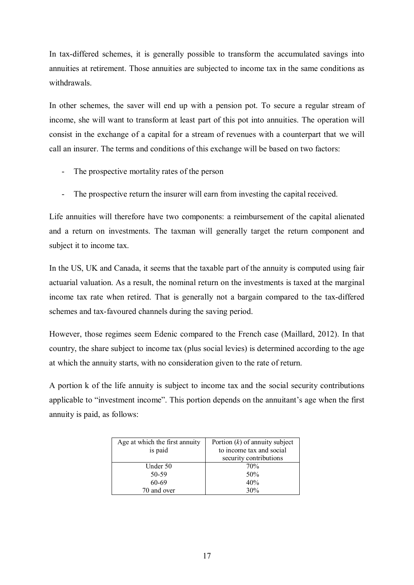In tax-differed schemes, it is generally possible to transform the accumulated savings into annuities at retirement. Those annuities are subjected to income tax in the same conditions as withdrawals.

In other schemes, the saver will end up with a pension pot. To secure a regular stream of income, she will want to transform at least part of this pot into annuities. The operation will consist in the exchange of a capital for a stream of revenues with a counterpart that we will call an insurer. The terms and conditions of this exchange will be based on two factors:

- The prospective mortality rates of the person
- The prospective return the insurer will earn from investing the capital received.

Life annuities will therefore have two components: a reimbursement of the capital alienated and a return on investments. The taxman will generally target the return component and subject it to income tax.

In the US, UK and Canada, it seems that the taxable part of the annuity is computed using fair actuarial valuation. As a result, the nominal return on the investments is taxed at the marginal income tax rate when retired. That is generally not a bargain compared to the tax-differed schemes and tax-favoured channels during the saving period.

However, those regimes seem Edenic compared to the French case (Maillard, 2012). In that country, the share subject to income tax (plus social levies) is determined according to the age at which the annuity starts, with no consideration given to the rate of return.

A portion k of the life annuity is subject to income tax and the social security contributions applicable to "investment income". This portion depends on the annuitant's age when the first annuity is paid, as follows:

| Age at which the first annuity<br>is paid | Portion $(k)$ of annuity subject<br>to income tax and social<br>security contributions |
|-------------------------------------------|----------------------------------------------------------------------------------------|
| Under 50                                  | 70%                                                                                    |
| 50-59                                     | 50%                                                                                    |
| 60-69                                     | 40%                                                                                    |
| 70 and over                               | 30%                                                                                    |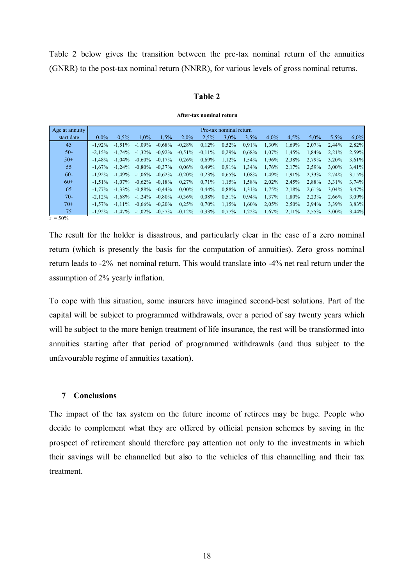Table 2 below gives the transition between the pre-tax nominal return of the annuities (GNRR) to the post-tax nominal return (NNRR), for various levels of gross nominal returns.

#### **Table 2**

**After-tax nominal return**

| Age at annuity        | Pre-tax nominal return |           |           |           |           |           |         |          |         |         |         |       |       |
|-----------------------|------------------------|-----------|-----------|-----------|-----------|-----------|---------|----------|---------|---------|---------|-------|-------|
| start date            | $0.0\%$                | $0.5\%$   | $1.0\%$   | 1.5%      | $2.0\%$   | 2.5%      | $3.0\%$ | 3.5%     | $4.0\%$ | $4.5\%$ | $5.0\%$ | 5.5%  | 6,0%  |
| 45                    | $-1.92\%$              | $-1.51\%$ | $-1.09\%$ | $-0.68\%$ | $-0.28%$  | 0.12%     | 0,52%   | 0.91%    | 1,30%   | 1.69%   | 2.07%   | 2.44% | 2,82% |
| $50-$                 | $-2.15%$               | $-1.74\%$ | $-1.32\%$ | $-0.92\%$ | $-0.51\%$ | $-0.11\%$ | 0.29%   | 0,68%    | 1,07%   | 1.45%   | 1.84%   | 2,21% | 2,59% |
| $50+$                 | $-1.48%$               | $-1.04\%$ | $-0.60\%$ | $-0.17\%$ | $0.26\%$  | $0.69\%$  | 1.12%   | 1,54%    | 1.96%   | 2,38%   | 2.79%   | 3.20% | 3,61% |
| 55                    | $-1.67\%$              | $-1.24\%$ | $-0.80\%$ | $-0.37\%$ | $0.06\%$  | 0,49%     | 0,91%   | 1,34%    | 1,76%   | 2,17%   | 2,59%   | 3.00% | 3,41% |
| $60 -$                | $-1.92\%$              | $-1.49\%$ | $-1.06\%$ | $-0.62\%$ | $-0.20%$  | 0.23%     | 0,65%   | 1.08%    | 1.49%   | 1,91%   | 2,33%   | 2.74% | 3,15% |
| $60+$                 | $-1.51\%$              | $-1.07\%$ | $-0.62\%$ | $-0.18%$  | $0.27\%$  | 0.71%     | 1,15%   | 1,58%    | 2,02%   | 2.45%   | 2.88%   | 3.31% | 3,74% |
| 65                    | $-1.77\%$              | $-1.33\%$ | $-0.88\%$ | $-0.44\%$ | $0.00\%$  | $0.44\%$  | 0,88%   | 1,31%    | 1.75%   | 2.18%   | 2.61%   | 3.04% | 3,47% |
| $70-$                 | $-2.12\%$              | $-1.68\%$ | $-1.24\%$ | $-0.80\%$ | $-0.36\%$ | $0.08\%$  | 0,51%   | $0.94\%$ | 1,37%   | 1.80%   | 2.23%   | 2.66% | 3,09% |
| $70+$                 | $-1.57\%$              | $-1.11\%$ | $-0.66\%$ | $-0.20\%$ | 0.25%     | $0.70\%$  | 1,15%   | 1,60%    | 2,05%   | 2,50%   | 2.94%   | 3.39% | 3,83% |
| 75<br>$-\wedge\wedge$ | $-1.92\%$              | $-1.47\%$ | $-1.02\%$ | $-0.57\%$ | $-0.12\%$ | $0.33\%$  | 0.77%   | 1.22%    | 1.67%   | 2.11%   | 2,55%   | 3.00% | 3,44% |

 $τ = 50%$ 

The result for the holder is disastrous, and particularly clear in the case of a zero nominal return (which is presently the basis for the computation of annuities). Zero gross nominal return leads to -2% net nominal return. This would translate into -4% net real return under the assumption of 2% yearly inflation.

To cope with this situation, some insurers have imagined second-best solutions. Part of the capital will be subject to programmed withdrawals, over a period of say twenty years which will be subject to the more benign treatment of life insurance, the rest will be transformed into annuities starting after that period of programmed withdrawals (and thus subject to the unfavourable regime of annuities taxation).

#### **7 Conclusions**

The impact of the tax system on the future income of retirees may be huge. People who decide to complement what they are offered by official pension schemes by saving in the prospect of retirement should therefore pay attention not only to the investments in which their savings will be channelled but also to the vehicles of this channelling and their tax treatment.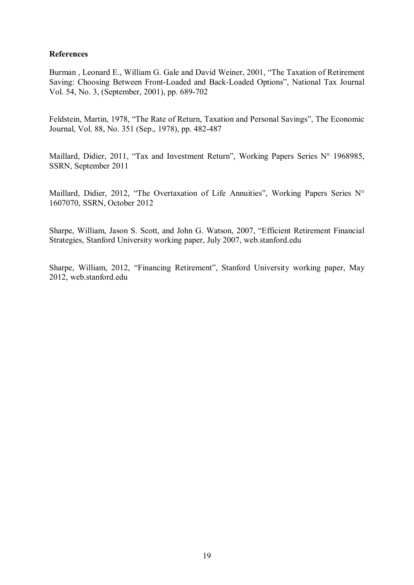### **References**

Burman , Leonard E., William G. Gale and David Weiner, 2001, "The Taxation of Retirement Saving: Choosing Between Front-Loaded and Back-Loaded Options", National Tax Journal Vol. 54, No. 3, (September, 2001), pp. 689-702

Feldstein, Martin, 1978, "The Rate of Return, Taxation and Personal Savings", The Economic Journal, Vol. 88, No. 351 (Sep., 1978), pp. 482-487

Maillard, Didier, 2011, "Tax and Investment Return", Working Papers Series N° 1968985, SSRN, September 2011

Maillard, Didier, 2012, "The Overtaxation of Life Annuities", Working Papers Series N° 1607070, SSRN, October 2012

Sharpe, William, Jason S. Scott, and John G. Watson, 2007, "Efficient Retirement Financial Strategies, Stanford University working paper, July 2007, web.stanford.edu

Sharpe, William, 2012, "Financing Retirement", Stanford University working paper, May 2012, web.stanford.edu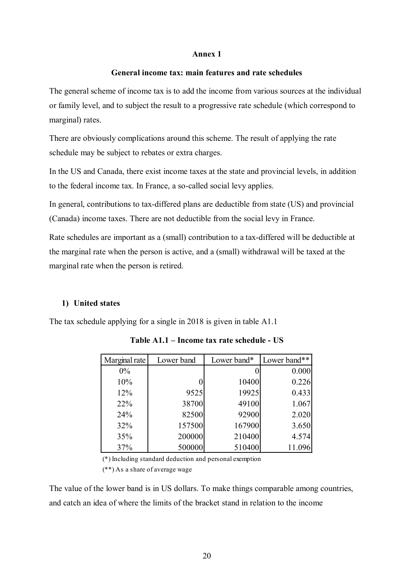#### **Annex 1**

#### **General income tax: main features and rate schedules**

The general scheme of income tax is to add the income from various sources at the individual or family level, and to subject the result to a progressive rate schedule (which correspond to marginal) rates.

There are obviously complications around this scheme. The result of applying the rate schedule may be subject to rebates or extra charges.

In the US and Canada, there exist income taxes at the state and provincial levels, in addition to the federal income tax. In France, a so-called social levy applies.

In general, contributions to tax-differed plans are deductible from state (US) and provincial (Canada) income taxes. There are not deductible from the social levy in France.

Rate schedules are important as a (small) contribution to a tax-differed will be deductible at the marginal rate when the person is active, and a (small) withdrawal will be taxed at the marginal rate when the person is retired.

#### **1) United states**

The tax schedule applying for a single in 2018 is given in table A1.1

| Marginal rate | Lower band | Lower band* | Lower band** |
|---------------|------------|-------------|--------------|
| $0\%$         |            |             | 0.000        |
| 10%           |            | 10400       | 0.226        |
| 12%           | 9525       | 19925       | 0.433        |
| 22%           | 38700      | 49100       | 1.067        |
| 24%           | 82500      | 92900       | 2.020        |
| 32%           | 157500     | 167900      | 3.650        |
| 35%           | 200000     | 210400      | 4.574        |
| 37%           | 500000     | 510400      | 11.096       |

**Table A1.1 – Income tax rate schedule - US**

(\*) Including standard deduction and personal exemption

(\*\*) As a share of average wage

The value of the lower band is in US dollars. To make things comparable among countries, and catch an idea of where the limits of the bracket stand in relation to the income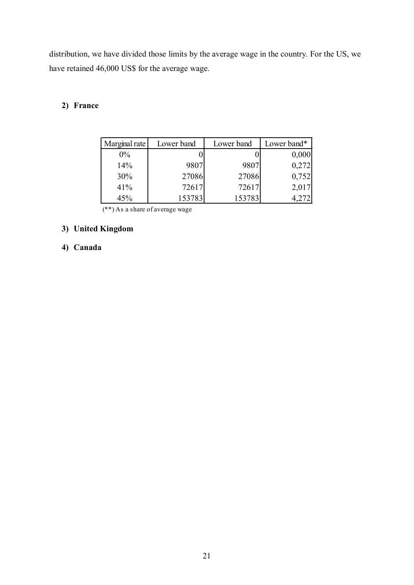distribution, we have divided those limits by the average wage in the country. For the US, we have retained 46,000 US\$ for the average wage.

# **2) France**

| Marginal rate | Lower band | Lower band | Lower band* |
|---------------|------------|------------|-------------|
| $0\%$         |            |            | 0,000       |
| 14%           | 9807       | 9807       | 0,272       |
| 30%           | 27086      | 27086      | 0,752       |
| 41%           | 72617      | 72617      | 2,017       |
| 45%           | 153783     | 153783     |             |

(\*\*) As a share of average wage

# **3) United Kingdom**

# **4) Canada**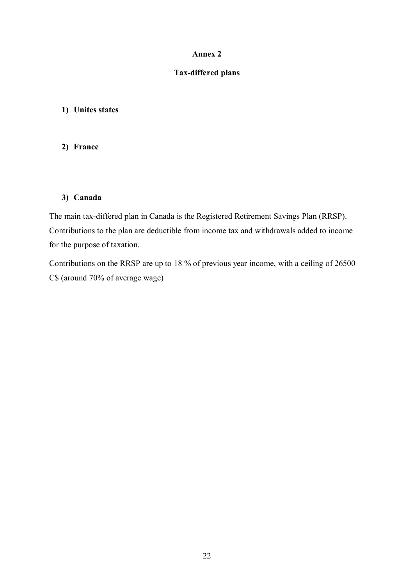### **Annex 2**

## **Tax-differed plans**

#### **1) Unites states**

#### **2) France**

### **3) Canada**

The main tax-differed plan in Canada is the Registered Retirement Savings Plan (RRSP). Contributions to the plan are deductible from income tax and withdrawals added to income for the purpose of taxation.

Contributions on the RRSP are up to 18 % of previous year income, with a ceiling of 26500 C\$ (around 70% of average wage)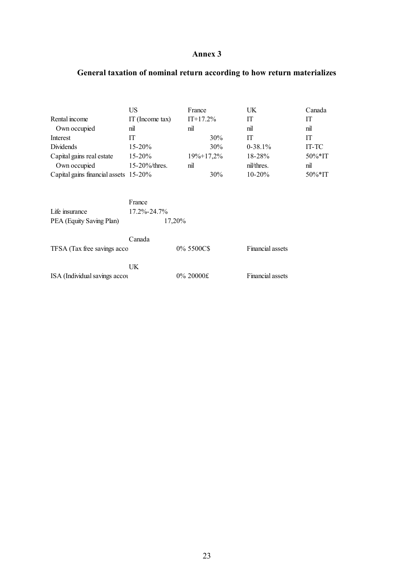# **Annex 3**

# **General taxation of nominal return according to how return materializes**

|                                       | US                          | France     |        | UK.              | Canada                 |
|---------------------------------------|-----------------------------|------------|--------|------------------|------------------------|
| Rental income                         | IT (Income tax)             | $IT+17.2%$ |        | IT               | IT                     |
| Own occupied                          | nil                         | nil        |        | nil              | nil                    |
| Interest                              | IT                          |            | $30\%$ | IT               | IT                     |
| Dividends                             | $15 - 20%$                  |            | $30\%$ | $0-38.1\%$       | IT-TC                  |
| Capital gains real estate             | $15 - 20%$                  | 19%+17,2%  |        | 18-28%           | $50\%$ <sup>*</sup> IT |
| Own occupied                          | $15 - 20\%$ thres.          | nil        |        | nil/thres.       | nil                    |
| Capital gains financial assets 15-20% |                             |            | 30%    | $10 - 20%$       | $50\%$ <sup>*</sup> IT |
| Life insurance                        | France<br>$17.2\% - 24.7\%$ |            |        |                  |                        |
| PEA (Equity Saving Plan)              |                             | 17,20%     |        |                  |                        |
| TFSA (Tax free savings acco           | Canada                      | 0% 5500C\$ |        | Financial assets |                        |
| ISA (Individual savings accou         | UK.                         | 0% 20000£  |        | Financial assets |                        |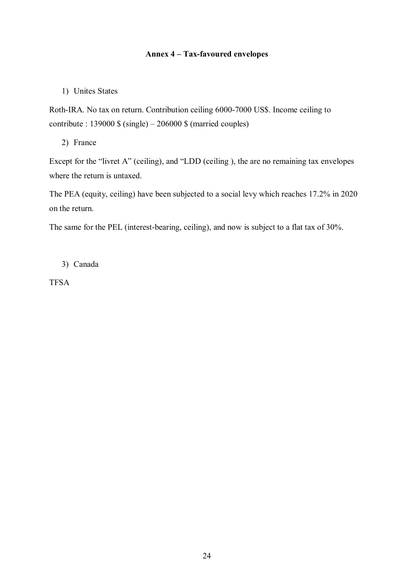# **Annex 4 – Tax-favoured envelopes**

# 1) Unites States

Roth-IRA. No tax on return. Contribution ceiling 6000-7000 US\$. Income ceiling to contribute :  $139000 \$  (single) –  $206000 \$  (married couples)

2) France

Except for the "livret A" (ceiling), and "LDD (ceiling ), the are no remaining tax envelopes where the return is untaxed.

The PEA (equity, ceiling) have been subjected to a social levy which reaches 17.2% in 2020 on the return.

The same for the PEL (interest-bearing, ceiling), and now is subject to a flat tax of 30%.

3) Canada

TFSA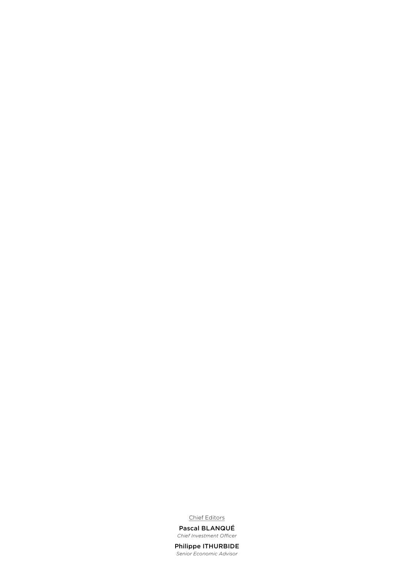Chief Editors

Pascal BLANQUÉ *Chief Investment Officer*

Philippe ITHURBIDE *Senior Economic Advisor*